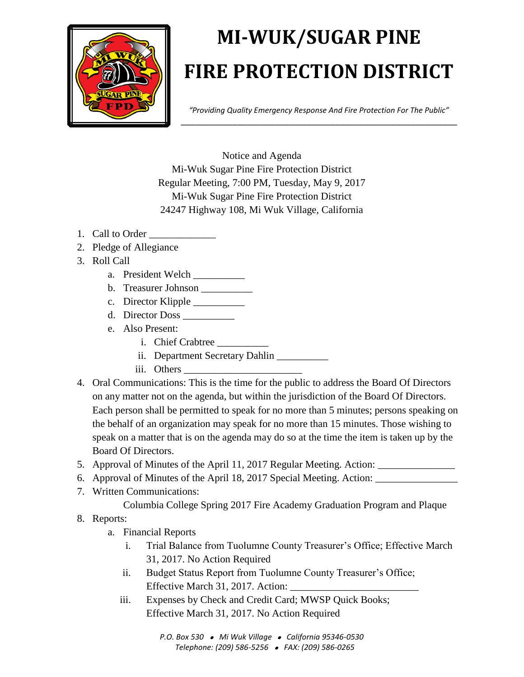

## **MI-WUK/SUGAR PINE FIRE PROTECTION DISTRICT**

*"Providing Quality Emergency Response And Fire Protection For The Public"* \_\_\_\_\_\_\_\_\_\_\_\_\_\_\_\_\_\_\_\_\_\_\_\_\_\_\_\_\_\_\_\_\_\_\_\_\_\_\_\_\_\_\_\_\_\_\_\_\_\_\_\_\_\_\_\_\_\_\_

Notice and Agenda Mi-Wuk Sugar Pine Fire Protection District Regular Meeting, 7:00 PM, Tuesday, May 9, 2017 Mi-Wuk Sugar Pine Fire Protection District 24247 Highway 108, Mi Wuk Village, California

- 1. Call to Order
- 2. Pledge of Allegiance
- 3. Roll Call
	- a. President Welch
	- b. Treasurer Johnson \_\_\_\_\_\_\_\_\_\_
	- c. Director Klipple \_\_\_\_\_\_\_\_\_\_
	- d. Director Doss \_\_\_\_\_\_\_\_\_\_
	- e. Also Present:
		- i. Chief Crabtree \_\_\_\_\_\_\_\_\_\_
		- ii. Department Secretary Dahlin \_\_\_\_\_\_\_\_
		- iii. Others
- 4. Oral Communications: This is the time for the public to address the Board Of Directors on any matter not on the agenda, but within the jurisdiction of the Board Of Directors. Each person shall be permitted to speak for no more than 5 minutes; persons speaking on the behalf of an organization may speak for no more than 15 minutes. Those wishing to speak on a matter that is on the agenda may do so at the time the item is taken up by the Board Of Directors.
- 5. Approval of Minutes of the April 11, 2017 Regular Meeting. Action: \_\_\_\_\_\_\_\_\_\_\_
- 6. Approval of Minutes of the April 18, 2017 Special Meeting. Action: \_\_\_\_\_\_\_\_\_\_\_\_\_\_\_\_
- 7. Written Communications:
	- Columbia College Spring 2017 Fire Academy Graduation Program and Plaque
- 8. Reports:
	- a. Financial Reports
		- i. Trial Balance from Tuolumne County Treasurer's Office; Effective March 31, 2017. No Action Required
		- ii. Budget Status Report from Tuolumne County Treasurer's Office; Effective March 31, 2017. Action:  $\overline{\phantom{a}}$
		- iii. Expenses by Check and Credit Card; MWSP Quick Books; Effective March 31, 2017. No Action Required